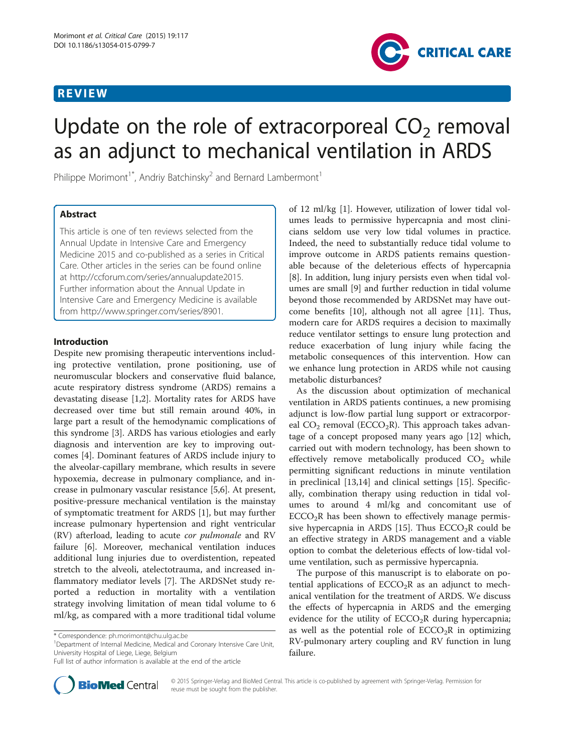# REVIEW



# Update on the role of extracorporeal  $CO<sub>2</sub>$  removal as an adjunct to mechanical ventilation in ARDS

Philippe Morimont<sup>1</sup><sup>\*</sup>, Andriy Batchinsky<sup>2</sup> and Bernard Lambermont<sup>1</sup>

## Abstract

This article is one of ten reviews selected from the Annual Update in Intensive Care and Emergency Medicine 2015 and co-published as a series in Critical Care. Other articles in the series can be found online at [http://ccforum.com/series/annualupdate2015.](http://ccforum.com/series/annualupdate2015) Further information about the Annual Update in Intensive Care and Emergency Medicine is available from [http://www.springer.com/series/8901.](http://www.springer.com/series/8901)

## Introduction

Despite new promising therapeutic interventions including protective ventilation, prone positioning, use of neuromuscular blockers and conservative fluid balance, acute respiratory distress syndrome (ARDS) remains a devastating disease [[1,2\]](#page-5-0). Mortality rates for ARDS have decreased over time but still remain around 40%, in large part a result of the hemodynamic complications of this syndrome [\[3\]](#page-6-0). ARDS has various etiologies and early diagnosis and intervention are key to improving outcomes [[4\]](#page-6-0). Dominant features of ARDS include injury to the alveolar-capillary membrane, which results in severe hypoxemia, decrease in pulmonary compliance, and increase in pulmonary vascular resistance [[5,6\]](#page-6-0). At present, positive-pressure mechanical ventilation is the mainstay of symptomatic treatment for ARDS [\[1](#page-5-0)], but may further increase pulmonary hypertension and right ventricular (RV) afterload, leading to acute cor pulmonale and RV failure [\[6](#page-6-0)]. Moreover, mechanical ventilation induces additional lung injuries due to overdistention, repeated stretch to the alveoli, atelectotrauma, and increased inflammatory mediator levels [\[7](#page-6-0)]. The ARDSNet study reported a reduction in mortality with a ventilation strategy involving limitation of mean tidal volume to 6 ml/kg, as compared with a more traditional tidal volume

<sup>1</sup>Department of Internal Medicine, Medical and Coronary Intensive Care Unit, University Hospital of Liege, Liege, Belgium

Full list of author information is available at the end of the article



failure.

of 12 ml/kg [\[1](#page-5-0)]. However, utilization of lower tidal volumes leads to permissive hypercapnia and most clinicians seldom use very low tidal volumes in practice. Indeed, the need to substantially reduce tidal volume to improve outcome in ARDS patients remains questionable because of the deleterious effects of hypercapnia [[8\]](#page-6-0). In addition, lung injury persists even when tidal volumes are small [[9\]](#page-6-0) and further reduction in tidal volume beyond those recommended by ARDSNet may have outcome benefits [[10](#page-6-0)], although not all agree [\[11](#page-6-0)]. Thus, modern care for ARDS requires a decision to maximally reduce ventilator settings to ensure lung protection and reduce exacerbation of lung injury while facing the metabolic consequences of this intervention. How can we enhance lung protection in ARDS while not causing metabolic disturbances?

As the discussion about optimization of mechanical ventilation in ARDS patients continues, a new promising adjunct is low-flow partial lung support or extracorporeal  $CO<sub>2</sub>$  removal (ECCO<sub>2</sub>R). This approach takes advantage of a concept proposed many years ago [\[12\]](#page-6-0) which, carried out with modern technology, has been shown to effectively remove metabolically produced  $CO<sub>2</sub>$  while permitting significant reductions in minute ventilation in preclinical [[13,14\]](#page-6-0) and clinical settings [[15](#page-6-0)]. Specifically, combination therapy using reduction in tidal volumes to around 4 ml/kg and concomitant use of  $ECCO<sub>2</sub>R$  has been shown to effectively manage permis-sive hypercapnia in ARDS [[15\]](#page-6-0). Thus  $ECCO<sub>2</sub>R$  could be an effective strategy in ARDS management and a viable option to combat the deleterious effects of low-tidal volume ventilation, such as permissive hypercapnia.

The purpose of this manuscript is to elaborate on potential applications of  $ECCO<sub>2</sub>R$  as an adjunct to mechanical ventilation for the treatment of ARDS. We discuss the effects of hypercapnia in ARDS and the emerging evidence for the utility of  $ECCO<sub>2</sub>R$  during hypercapnia; as well as the potential role of  $ECCO<sub>2</sub>R$  in optimizing RV-pulmonary artery coupling and RV function in lung

<sup>\*</sup> Correspondence: [ph.morimont@chu.ulg.ac.be](mailto:ph.morimont@chu.ulg.ac.be) <sup>1</sup>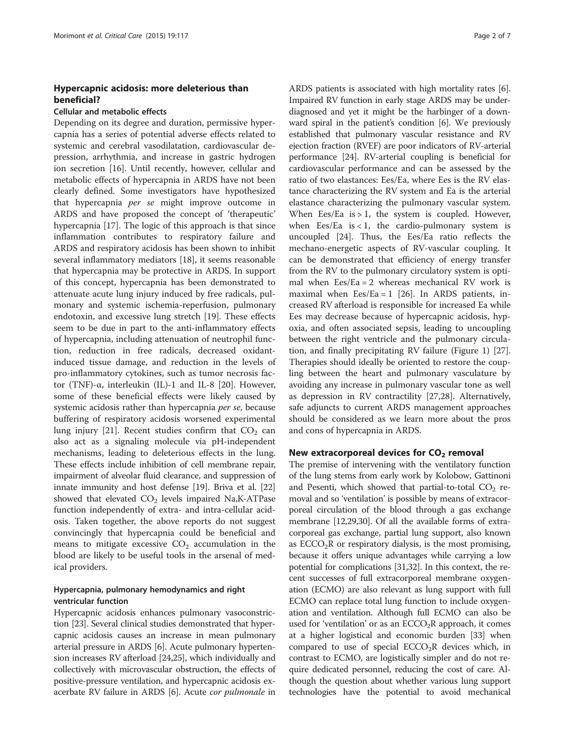## Hypercapnic acidosis: more deleterious than beneficial?

#### Cellular and metabolic effects

Depending on its degree and duration, permissive hypercapnia has a series of potential adverse effects related to systemic and cerebral vasodilatation, cardiovascular depression, arrhythmia, and increase in gastric hydrogen ion secretion [\[16](#page-6-0)]. Until recently, however, cellular and metabolic effects of hypercapnia in ARDS have not been clearly defined. Some investigators have hypothesized that hypercapnia per se might improve outcome in ARDS and have proposed the concept of 'therapeutic' hypercapnia [\[17](#page-6-0)]. The logic of this approach is that since inflammation contributes to respiratory failure and ARDS and respiratory acidosis has been shown to inhibit several inflammatory mediators [\[18](#page-6-0)], it seems reasonable that hypercapnia may be protective in ARDS. In support of this concept, hypercapnia has been demonstrated to attenuate acute lung injury induced by free radicals, pulmonary and systemic ischemia-reperfusion, pulmonary endotoxin, and excessive lung stretch [\[19\]](#page-6-0). These effects seem to be due in part to the anti-inflammatory effects of hypercapnia, including attenuation of neutrophil function, reduction in free radicals, decreased oxidantinduced tissue damage, and reduction in the levels of pro-inflammatory cytokines, such as tumor necrosis factor (TNF)-α, interleukin (IL)-1 and IL-8 [\[20](#page-6-0)]. However, some of these beneficial effects were likely caused by systemic acidosis rather than hypercapnia per se, because buffering of respiratory acidosis worsened experimental lung injury [[21\]](#page-6-0). Recent studies confirm that  $CO<sub>2</sub>$  can also act as a signaling molecule via pH-independent mechanisms, leading to deleterious effects in the lung. These effects include inhibition of cell membrane repair, impairment of alveolar fluid clearance, and suppression of innate immunity and host defense [\[19\]](#page-6-0). Briva et al. [[22](#page-6-0)] showed that elevated  $CO<sub>2</sub>$  levels impaired Na,K-ATPase function independently of extra- and intra-cellular acidosis. Taken together, the above reports do not suggest convincingly that hypercapnia could be beneficial and means to mitigate excessive  $CO<sub>2</sub>$  accumulation in the blood are likely to be useful tools in the arsenal of medical providers.

### Hypercapnia, pulmonary hemodynamics and right ventricular function

Hypercapnic acidosis enhances pulmonary vasoconstriction [\[23](#page-6-0)]. Several clinical studies demonstrated that hypercapnic acidosis causes an increase in mean pulmonary arterial pressure in ARDS [[6\]](#page-6-0). Acute pulmonary hypertension increases RV afterload [[24,25\]](#page-6-0), which individually and collectively with microvascular obstruction, the effects of positive-pressure ventilation, and hypercapnic acidosis exacerbate RV failure in ARDS [\[6](#page-6-0)]. Acute cor pulmonale in

ARDS patients is associated with high mortality rates [[6](#page-6-0)]. Impaired RV function in early stage ARDS may be underdiagnosed and yet it might be the harbinger of a downward spiral in the patient's condition [\[6](#page-6-0)]. We previously established that pulmonary vascular resistance and RV ejection fraction (RVEF) are poor indicators of RV-arterial performance [[24](#page-6-0)]. RV-arterial coupling is beneficial for cardiovascular performance and can be assessed by the ratio of two elastances: Ees/Ea, where Ees is the RV elastance characterizing the RV system and Ea is the arterial elastance characterizing the pulmonary vascular system. When Ees/Ea is  $> 1$ , the system is coupled. However, when Ees/Ea is < 1, the cardio-pulmonary system is uncoupled [[24](#page-6-0)]. Thus, the Ees/Ea ratio reflects the mechano-energetic aspects of RV-vascular coupling. It can be demonstrated that efficiency of energy transfer from the RV to the pulmonary circulatory system is optimal when Ees/Ea = 2 whereas mechanical RV work is maximal when  $Ees/Ea = 1$  [[26](#page-6-0)]. In ARDS patients, increased RV afterload is responsible for increased Ea while Ees may decrease because of hypercapnic acidosis, hypoxia, and often associated sepsis, leading to uncoupling between the right ventricle and the pulmonary circulation, and finally precipitating RV failure (Figure [1](#page-2-0)) [\[27](#page-6-0)]. Therapies should ideally be oriented to restore the coupling between the heart and pulmonary vasculature by avoiding any increase in pulmonary vascular tone as well as depression in RV contractility [[27,28](#page-6-0)]. Alternatively, safe adjuncts to current ARDS management approaches should be considered as we learn more about the pros and cons of hypercapnia in ARDS.

## New extracorporeal devices for  $CO<sub>2</sub>$  removal

The premise of intervening with the ventilatory function of the lung stems from early work by Kolobow, Gattinoni and Pesenti, which showed that partial-to-total  $CO<sub>2</sub>$  removal and so 'ventilation' is possible by means of extracorporeal circulation of the blood through a gas exchange membrane [\[12,29,30](#page-6-0)]. Of all the available forms of extracorporeal gas exchange, partial lung support, also known as  $ECCO<sub>2</sub>R$  or respiratory dialysis, is the most promising, because it offers unique advantages while carrying a low potential for complications [[31,32\]](#page-6-0). In this context, the recent successes of full extracorporeal membrane oxygenation (ECMO) are also relevant as lung support with full ECMO can replace total lung function to include oxygenation and ventilation. Although full ECMO can also be used for 'ventilation' or as an  $ECCO<sub>2</sub>R$  approach, it comes at a higher logistical and economic burden [[33\]](#page-6-0) when compared to use of special  $ECCO<sub>2</sub>R$  devices which, in contrast to ECMO, are logistically simpler and do not require dedicated personnel, reducing the cost of care. Although the question about whether various lung support technologies have the potential to avoid mechanical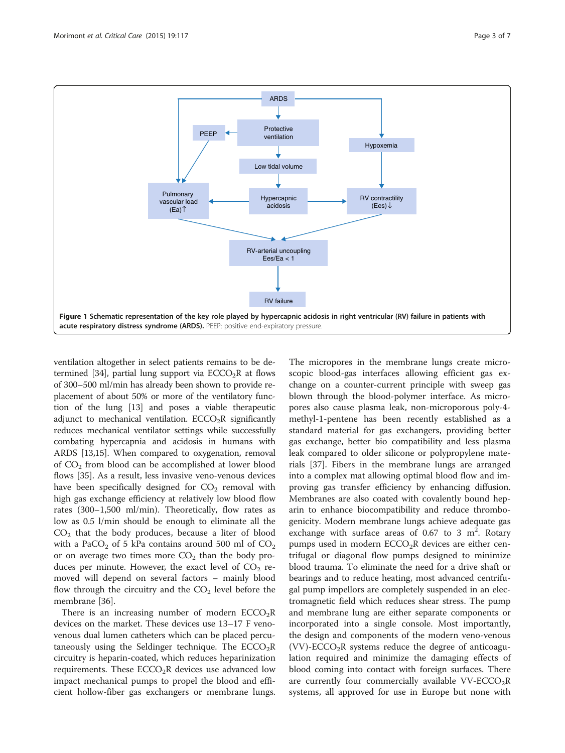<span id="page-2-0"></span>

ventilation altogether in select patients remains to be de-termined [[34](#page-6-0)], partial lung support via  $ECCO<sub>2</sub>R$  at flows of 300–500 ml/min has already been shown to provide replacement of about 50% or more of the ventilatory function of the lung [\[13\]](#page-6-0) and poses a viable therapeutic adjunct to mechanical ventilation.  $ECCO<sub>2</sub>R$  significantly reduces mechanical ventilator settings while successfully combating hypercapnia and acidosis in humans with ARDS [[13,15\]](#page-6-0). When compared to oxygenation, removal of  $CO<sub>2</sub>$  from blood can be accomplished at lower blood flows [\[35](#page-6-0)]. As a result, less invasive veno-venous devices have been specifically designed for  $CO<sub>2</sub>$  removal with high gas exchange efficiency at relatively low blood flow rates (300–1,500 ml/min). Theoretically, flow rates as low as 0.5 l/min should be enough to eliminate all the  $CO<sub>2</sub>$  that the body produces, because a liter of blood with a PaCO<sub>2</sub> of 5 kPa contains around 500 ml of  $CO<sub>2</sub>$ or on average two times more  $CO<sub>2</sub>$  than the body produces per minute. However, the exact level of  $CO<sub>2</sub>$  removed will depend on several factors – mainly blood flow through the circuitry and the  $CO<sub>2</sub>$  level before the membrane [[36\]](#page-6-0).

There is an increasing number of modern  $ECCO<sub>2</sub>R$ devices on the market. These devices use 13–17 F venovenous dual lumen catheters which can be placed percutaneously using the Seldinger technique. The  $ECCO<sub>2</sub>R$ circuitry is heparin-coated, which reduces heparinization requirements. These  $ECCO<sub>2</sub>R$  devices use advanced low impact mechanical pumps to propel the blood and efficient hollow-fiber gas exchangers or membrane lungs. The micropores in the membrane lungs create microscopic blood-gas interfaces allowing efficient gas exchange on a counter-current principle with sweep gas blown through the blood-polymer interface. As micropores also cause plasma leak, non-microporous poly-4 methyl-1-pentene has been recently established as a standard material for gas exchangers, providing better gas exchange, better bio compatibility and less plasma leak compared to older silicone or polypropylene materials [[37\]](#page-6-0). Fibers in the membrane lungs are arranged into a complex mat allowing optimal blood flow and improving gas transfer efficiency by enhancing diffusion. Membranes are also coated with covalently bound heparin to enhance biocompatibility and reduce thrombogenicity. Modern membrane lungs achieve adequate gas exchange with surface areas of  $0.67$  to 3 m<sup>2</sup>. Rotary pumps used in modern  $ECCO<sub>2</sub>R$  devices are either centrifugal or diagonal flow pumps designed to minimize blood trauma. To eliminate the need for a drive shaft or bearings and to reduce heating, most advanced centrifugal pump impellors are completely suspended in an electromagnetic field which reduces shear stress. The pump and membrane lung are either separate components or incorporated into a single console. Most importantly, the design and components of the modern veno-venous  $(VV)$ -ECCO<sub>2</sub>R systems reduce the degree of anticoagulation required and minimize the damaging effects of blood coming into contact with foreign surfaces. There are currently four commercially available  $VV\text{-}\text{ECCO}_2R$ systems, all approved for use in Europe but none with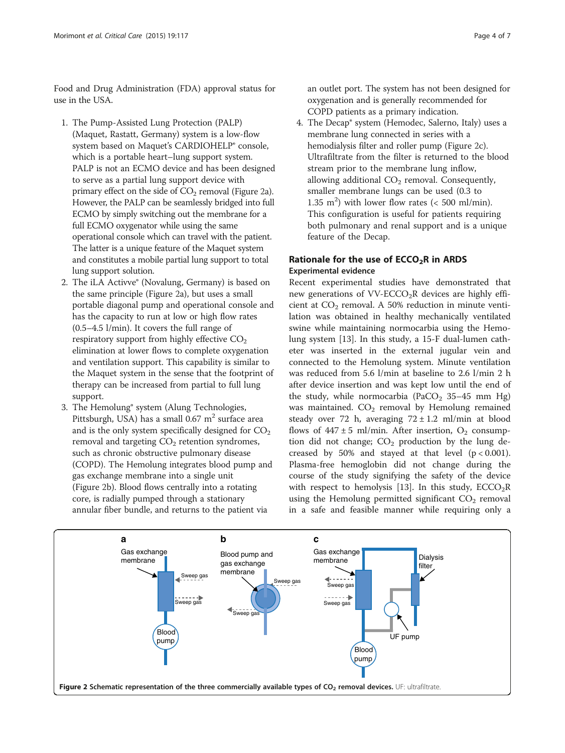Food and Drug Administration (FDA) approval status for use in the USA.

- 1. The Pump-Assisted Lung Protection (PALP) (Maquet, Rastatt, Germany) system is a low-flow system based on Maquet's CARDIOHELP® console, which is a portable heart–lung support system. PALP is not an ECMO device and has been designed to serve as a partial lung support device with primary effect on the side of  $CO<sub>2</sub>$  removal (Figure 2a). However, the PALP can be seamlessly bridged into full ECMO by simply switching out the membrane for a full ECMO oxygenator while using the same operational console which can travel with the patient. The latter is a unique feature of the Maquet system and constitutes a mobile partial lung support to total lung support solution.
- 2. The iLA Activve® (Novalung, Germany) is based on the same principle (Figure 2a), but uses a small portable diagonal pump and operational console and has the capacity to run at low or high flow rates (0.5–4.5 l/min). It covers the full range of respiratory support from highly effective  $CO<sub>2</sub>$ elimination at lower flows to complete oxygenation and ventilation support. This capability is similar to the Maquet system in the sense that the footprint of therapy can be increased from partial to full lung support.
- 3. The Hemolung® system (Alung Technologies, Pittsburgh, USA) has a small  $0.67$  m<sup>2</sup> surface area and is the only system specifically designed for  $CO<sub>2</sub>$ removal and targeting  $CO<sub>2</sub>$  retention syndromes, such as chronic obstructive pulmonary disease (COPD). The Hemolung integrates blood pump and gas exchange membrane into a single unit (Figure 2b). Blood flows centrally into a rotating core, is radially pumped through a stationary annular fiber bundle, and returns to the patient via

an outlet port. The system has not been designed for oxygenation and is generally recommended for COPD patients as a primary indication.

4. The Decap® system (Hemodec, Salerno, Italy) uses a membrane lung connected in series with a hemodialysis filter and roller pump (Figure 2c). Ultrafiltrate from the filter is returned to the blood stream prior to the membrane lung inflow, allowing additional  $CO<sub>2</sub>$  removal. Consequently, smaller membrane lungs can be used (0.3 to 1.35  $m^2$ ) with lower flow rates (< 500 ml/min). This configuration is useful for patients requiring both pulmonary and renal support and is a unique feature of the Decap.

## Rationale for the use of  $ECCO<sub>2</sub>R$  in ARDS Experimental evidence

Recent experimental studies have demonstrated that new generations of  $VV\text{-ECCO}_2R$  devices are highly efficient at  $CO<sub>2</sub>$  removal. A 50% reduction in minute ventilation was obtained in healthy mechanically ventilated swine while maintaining normocarbia using the Hemolung system [[13](#page-6-0)]. In this study, a 15-F dual-lumen catheter was inserted in the external jugular vein and connected to the Hemolung system. Minute ventilation was reduced from 5.6 l/min at baseline to 2.6 l/min 2 h after device insertion and was kept low until the end of the study, while normocarbia (PaCO<sub>2</sub> 35-45 mm Hg) was maintained.  $CO<sub>2</sub>$  removal by Hemolung remained steady over 72 h, averaging  $72 \pm 1.2$  ml/min at blood flows of  $447 \pm 5$  ml/min. After insertion, O<sub>2</sub> consumption did not change;  $CO<sub>2</sub>$  production by the lung decreased by 50% and stayed at that level  $(p < 0.001)$ . Plasma-free hemoglobin did not change during the course of the study signifying the safety of the device with respect to hemolysis [[13](#page-6-0)]. In this study,  $ECCO<sub>2</sub>R$ using the Hemolung permitted significant  $CO<sub>2</sub>$  removal in a safe and feasible manner while requiring only a

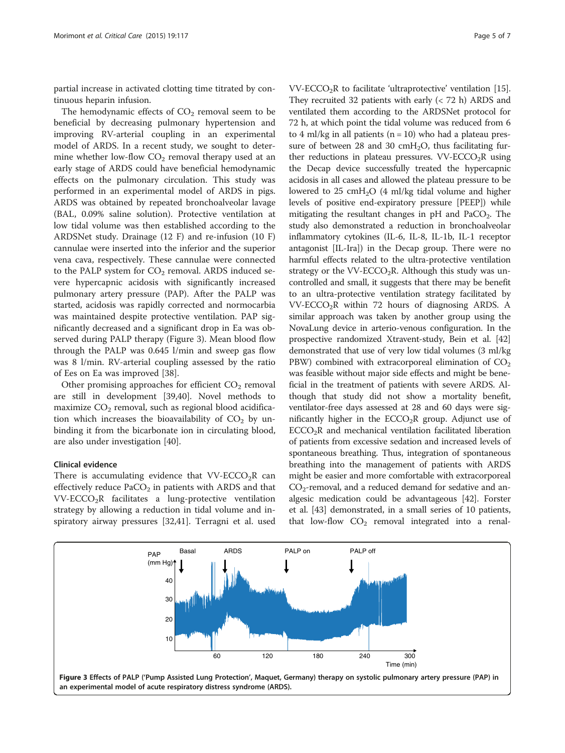partial increase in activated clotting time titrated by continuous heparin infusion.

The hemodynamic effects of  $CO<sub>2</sub>$  removal seem to be beneficial by decreasing pulmonary hypertension and improving RV-arterial coupling in an experimental model of ARDS. In a recent study, we sought to determine whether low-flow  $CO<sub>2</sub>$  removal therapy used at an early stage of ARDS could have beneficial hemodynamic effects on the pulmonary circulation. This study was performed in an experimental model of ARDS in pigs. ARDS was obtained by repeated bronchoalveolar lavage (BAL, 0.09% saline solution). Protective ventilation at low tidal volume was then established according to the ARDSNet study. Drainage (12 F) and re-infusion (10 F) cannulae were inserted into the inferior and the superior vena cava, respectively. These cannulae were connected to the PALP system for  $CO<sub>2</sub>$  removal. ARDS induced severe hypercapnic acidosis with significantly increased pulmonary artery pressure (PAP). After the PALP was started, acidosis was rapidly corrected and normocarbia was maintained despite protective ventilation. PAP significantly decreased and a significant drop in Ea was observed during PALP therapy (Figure 3). Mean blood flow through the PALP was 0.645 l/min and sweep gas flow was 8 l/min. RV-arterial coupling assessed by the ratio of Ees on Ea was improved [[38\]](#page-6-0).

Other promising approaches for efficient  $CO<sub>2</sub>$  removal are still in development [\[39,40\]](#page-6-0). Novel methods to maximize  $CO<sub>2</sub>$  removal, such as regional blood acidification which increases the bioavailability of  $CO<sub>2</sub>$  by unbinding it from the bicarbonate ion in circulating blood, are also under investigation [[40\]](#page-6-0).

#### Clinical evidence

There is accumulating evidence that  $VV\text{-}\text{ECCO}_2R$  can effectively reduce  $PaCO<sub>2</sub>$  in patients with ARDS and that  $VV\text{-}\text{ECCO}_2R$  facilitates a lung-protective ventilation strategy by allowing a reduction in tidal volume and inspiratory airway pressures [\[32,41\]](#page-6-0). Terragni et al. used

 $VV\text{-}\text{ECCO}_2R$  to facilitate 'ultraprotective' ventilation [[15](#page-6-0)]. They recruited 32 patients with early (< 72 h) ARDS and ventilated them according to the ARDSNet protocol for 72 h, at which point the tidal volume was reduced from 6 to 4 ml/kg in all patients ( $n = 10$ ) who had a plateau pressure of between 28 and 30  $cmH<sub>2</sub>O$ , thus facilitating further reductions in plateau pressures.  $VV\text{-}ECCO_2R$  using the Decap device successfully treated the hypercapnic acidosis in all cases and allowed the plateau pressure to be lowered to 25 cmH2O (4 ml/kg tidal volume and higher levels of positive end-expiratory pressure [PEEP]) while mitigating the resultant changes in  $pH$  and PaCO<sub>2</sub>. The study also demonstrated a reduction in bronchoalveolar inflammatory cytokines (IL-6, IL-8, IL-1b, IL-1 receptor antagonist [IL-Ira]) in the Decap group. There were no harmful effects related to the ultra-protective ventilation strategy or the VV-ECCO<sub>2</sub>R. Although this study was uncontrolled and small, it suggests that there may be benefit to an ultra-protective ventilation strategy facilitated by  $VV$ -ECCO<sub>2</sub>R within 72 hours of diagnosing ARDS. A similar approach was taken by another group using the NovaLung device in arterio-venous configuration. In the prospective randomized Xtravent-study, Bein et al. [[42](#page-6-0)] demonstrated that use of very low tidal volumes (3 ml/kg PBW) combined with extracorporeal elimination of  $CO<sub>2</sub>$ was feasible without major side effects and might be beneficial in the treatment of patients with severe ARDS. Although that study did not show a mortality benefit, ventilator-free days assessed at 28 and 60 days were significantly higher in the  $ECCO<sub>2</sub>R$  group. Adjunct use of  $ECCO<sub>2</sub>R$  and mechanical ventilation facilitated liberation of patients from excessive sedation and increased levels of spontaneous breathing. Thus, integration of spontaneous breathing into the management of patients with ARDS might be easier and more comfortable with extracorporeal  $CO<sub>2</sub>$ -removal, and a reduced demand for sedative and analgesic medication could be advantageous [\[42\]](#page-6-0). Forster et al. [[43](#page-6-0)] demonstrated, in a small series of 10 patients, that low-flow  $CO<sub>2</sub>$  removal integrated into a renal-

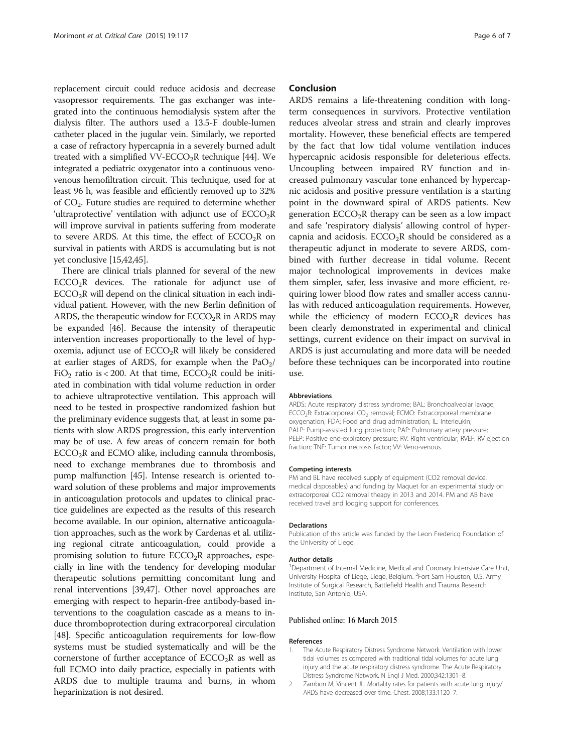<span id="page-5-0"></span>replacement circuit could reduce acidosis and decrease vasopressor requirements. The gas exchanger was integrated into the continuous hemodialysis system after the dialysis filter. The authors used a 13.5-F double-lumen catheter placed in the jugular vein. Similarly, we reported a case of refractory hypercapnia in a severely burned adult treated with a simplified VV-ECCO<sub>2</sub>R technique [\[44](#page-6-0)]. We integrated a pediatric oxygenator into a continuous venovenous hemofiltration circuit. This technique, used for at least 96 h, was feasible and efficiently removed up to 32% of CO2. Future studies are required to determine whether 'ultraprotective' ventilation with adjunct use of  $ECCO<sub>2</sub>R$ will improve survival in patients suffering from moderate to severe ARDS. At this time, the effect of  $ECCO<sub>2</sub>R$  on survival in patients with ARDS is accumulating but is not yet conclusive [\[15,42](#page-6-0),[45](#page-6-0)].

There are clinical trials planned for several of the new  $ECCO<sub>2</sub>R$  devices. The rationale for adjunct use of  $ECCO<sub>2</sub>R$  will depend on the clinical situation in each individual patient. However, with the new Berlin definition of ARDS, the therapeutic window for  $ECCO<sub>2</sub>R$  in ARDS may be expanded [\[46\]](#page-6-0). Because the intensity of therapeutic intervention increases proportionally to the level of hypoxemia, adjunct use of  $ECCO<sub>2</sub>R$  will likely be considered at earlier stages of ARDS, for example when the  $PaO<sub>2</sub>/$ FiO<sub>2</sub> ratio is < 200. At that time, ECCO<sub>2</sub>R could be initiated in combination with tidal volume reduction in order to achieve ultraprotective ventilation. This approach will need to be tested in prospective randomized fashion but the preliminary evidence suggests that, at least in some patients with slow ARDS progression, this early intervention may be of use. A few areas of concern remain for both  $ECCO<sub>2</sub>R$  and  $ECMO$  alike, including cannula thrombosis, need to exchange membranes due to thrombosis and pump malfunction [\[45](#page-6-0)]. Intense research is oriented toward solution of these problems and major improvements in anticoagulation protocols and updates to clinical practice guidelines are expected as the results of this research become available. In our opinion, alternative anticoagulation approaches, such as the work by Cardenas et al. utilizing regional citrate anticoagulation, could provide a promising solution to future  $ECCO<sub>2</sub>R$  approaches, especially in line with the tendency for developing modular therapeutic solutions permitting concomitant lung and renal interventions [\[39,47](#page-6-0)]. Other novel approaches are emerging with respect to heparin-free antibody-based interventions to the coagulation cascade as a means to induce thromboprotection during extracorporeal circulation [[48](#page-6-0)]. Specific anticoagulation requirements for low-flow systems must be studied systematically and will be the cornerstone of further acceptance of  $ECCO<sub>2</sub>R$  as well as full ECMO into daily practice, especially in patients with ARDS due to multiple trauma and burns, in whom heparinization is not desired.

#### Conclusion

ARDS remains a life-threatening condition with longterm consequences in survivors. Protective ventilation reduces alveolar stress and strain and clearly improves mortality. However, these beneficial effects are tempered by the fact that low tidal volume ventilation induces hypercapnic acidosis responsible for deleterious effects. Uncoupling between impaired RV function and increased pulmonary vascular tone enhanced by hypercapnic acidosis and positive pressure ventilation is a starting point in the downward spiral of ARDS patients. New generation  $ECCO<sub>2</sub>R$  therapy can be seen as a low impact and safe 'respiratory dialysis' allowing control of hypercapnia and acidosis.  $ECCO<sub>2</sub>R$  should be considered as a therapeutic adjunct in moderate to severe ARDS, combined with further decrease in tidal volume. Recent major technological improvements in devices make them simpler, safer, less invasive and more efficient, requiring lower blood flow rates and smaller access cannulas with reduced anticoagulation requirements. However, while the efficiency of modern  $ECCO<sub>2</sub>R$  devices has been clearly demonstrated in experimental and clinical settings, current evidence on their impact on survival in ARDS is just accumulating and more data will be needed before these techniques can be incorporated into routine use.

#### Abbreviations

ARDS: Acute respiratory distress syndrome; BAL: Bronchoalveolar lavage; ECCO<sub>2</sub>R: Extracorporeal CO<sub>2</sub> removal; ECMO: Extracorporeal membrane oxygenation; FDA: Food and drug administration; IL: Interleukin; PALP: Pump-assisted lung protection; PAP: Pulmonary artery pressure; PEEP: Positive end-expiratory pressure; RV: Right ventricular; RVEF: RV ejection fraction; TNF: Tumor necrosis factor; W: Veno-venous.

#### Competing interests

PM and BL have received supply of equipment (CO2 removal device, medical disposables) and funding by Maquet for an experimental study on extracorporeal CO2 removal theapy in 2013 and 2014. PM and AB have received travel and lodging support for conferences.

#### Declarations

Publication of this article was funded by the Leon Fredericq Foundation of the University of Liege.

#### Author details

<sup>1</sup>Department of Internal Medicine, Medical and Coronary Intensive Care Unit, University Hospital of Liege, Liege, Belgium. <sup>2</sup>Fort Sam Houston, U.S. Army Institute of Surgical Research, Battlefield Health and Trauma Research Institute, San Antonio, USA.

#### Published online: 16 March 2015

#### References

- 1. The Acute Respiratory Distress Syndrome Network. Ventilation with lower tidal volumes as compared with traditional tidal volumes for acute lung injury and the acute respiratory distress syndrome. The Acute Respiratory Distress Syndrome Network. N Engl J Med. 2000;342:1301–8.
- 2. Zambon M, Vincent JL. Mortality rates for patients with acute lung injury/ ARDS have decreased over time. Chest. 2008;133:1120–7.